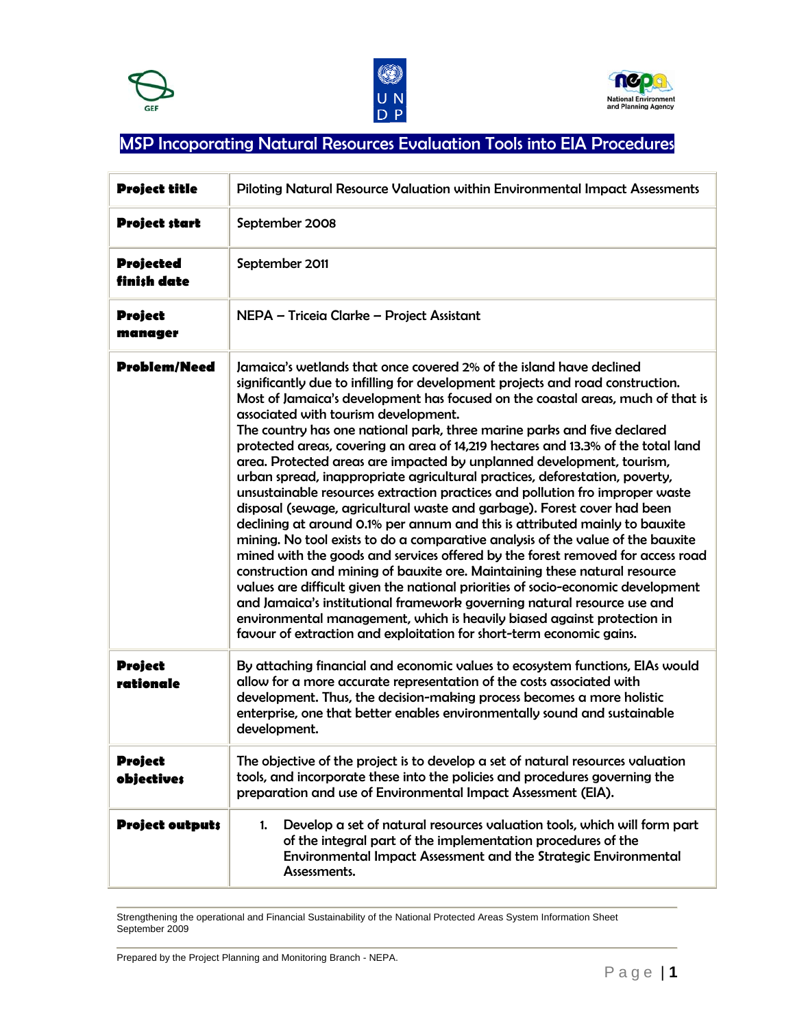





## MSP Incoporating Natural Resources Evaluation Tools into EIA Procedures

| <b>Project title</b>            | Piloting Natural Resource Valuation within Environmental Impact Assessments                                                                                                                                                                                                                                                                                                                                                                                                                                                                                                                                                                                                                                                                                                                                                                                                                                                                                                                                                                                                                                                                                                                                                                                                                                                                                                                                                |  |  |
|---------------------------------|----------------------------------------------------------------------------------------------------------------------------------------------------------------------------------------------------------------------------------------------------------------------------------------------------------------------------------------------------------------------------------------------------------------------------------------------------------------------------------------------------------------------------------------------------------------------------------------------------------------------------------------------------------------------------------------------------------------------------------------------------------------------------------------------------------------------------------------------------------------------------------------------------------------------------------------------------------------------------------------------------------------------------------------------------------------------------------------------------------------------------------------------------------------------------------------------------------------------------------------------------------------------------------------------------------------------------------------------------------------------------------------------------------------------------|--|--|
| <b>Project start</b>            | September 2008                                                                                                                                                                                                                                                                                                                                                                                                                                                                                                                                                                                                                                                                                                                                                                                                                                                                                                                                                                                                                                                                                                                                                                                                                                                                                                                                                                                                             |  |  |
| <b>Projected</b><br>finish date | September 2011                                                                                                                                                                                                                                                                                                                                                                                                                                                                                                                                                                                                                                                                                                                                                                                                                                                                                                                                                                                                                                                                                                                                                                                                                                                                                                                                                                                                             |  |  |
| <b>Project</b><br>manager       | NEPA - Triceia Clarke - Project Assistant                                                                                                                                                                                                                                                                                                                                                                                                                                                                                                                                                                                                                                                                                                                                                                                                                                                                                                                                                                                                                                                                                                                                                                                                                                                                                                                                                                                  |  |  |
| <b>Problem/Need</b>             | Jamaica's wetlands that once covered 2% of the island have declined<br>significantly due to infilling for development projects and road construction.<br>Most of Jamaica's development has focused on the coastal areas, much of that is<br>associated with tourism development.<br>The country has one national park, three marine parks and five declared<br>protected areas, covering an area of 14,219 hectares and 13.3% of the total land<br>area. Protected areas are impacted by unplanned development, tourism,<br>urban spread, inappropriate agricultural practices, deforestation, poverty,<br>unsustainable resources extraction practices and pollution fro improper waste<br>disposal (sewage, agricultural waste and garbage). Forest cover had been<br>declining at around 0.1% per annum and this is attributed mainly to bauxite<br>mining. No tool exists to do a comparative analysis of the value of the bauxite<br>mined with the goods and services offered by the forest removed for access road<br>construction and mining of bauxite ore. Maintaining these natural resource<br>values are difficult given the national priorities of socio-economic development<br>and Jamaica's institutional framework governing natural resource use and<br>environmental management, which is heavily biased against protection in<br>favour of extraction and exploitation for short-term economic gains. |  |  |
| <b>Project</b><br>rationale     | By attaching financial and economic values to ecosystem functions, EIAs would<br>allow for a more accurate representation of the costs associated with<br>development. Thus, the decision-making process becomes a more holistic<br>enterprise, one that better enables environmentally sound and sustainable<br>development.                                                                                                                                                                                                                                                                                                                                                                                                                                                                                                                                                                                                                                                                                                                                                                                                                                                                                                                                                                                                                                                                                              |  |  |
| Project<br><b>objectives</b>    | The objective of the project is to develop a set of natural resources valuation<br>tools, and incorporate these into the policies and procedures governing the<br>preparation and use of Environmental Impact Assessment (EIA).                                                                                                                                                                                                                                                                                                                                                                                                                                                                                                                                                                                                                                                                                                                                                                                                                                                                                                                                                                                                                                                                                                                                                                                            |  |  |
| <b>Project outputs</b>          | Develop a set of natural resources valuation tools, which will form part<br>1.<br>of the integral part of the implementation procedures of the<br>Environmental Impact Assessment and the Strategic Environmental<br>Assessments.                                                                                                                                                                                                                                                                                                                                                                                                                                                                                                                                                                                                                                                                                                                                                                                                                                                                                                                                                                                                                                                                                                                                                                                          |  |  |

Strengthening the operational and Financial Sustainability of the National Protected Areas System Information Sheet September 2009